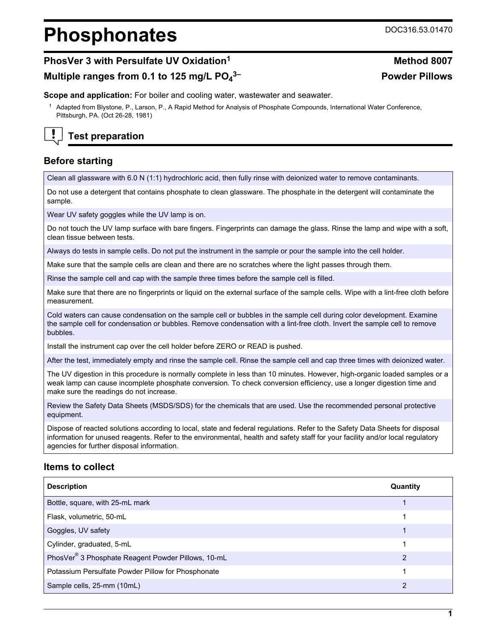# **Phosphonates** DOC316.53.01470

#### **PhosVer 3 with Persulfate UV Oxidation<sup>1</sup> Method 8007**

#### **Multiple ranges from 0.1 to 125 mg/L PO<sup>4</sup>**

**Scope and application:** For boiler and cooling water, wastewater and seawater.

<sup>1</sup> Adapted from Blystone, P., Larson, P., A Rapid Method for Analysis of Phosphate Compounds, International Water Conference, Pittsburgh, PA. (Oct 26-28, 1981)

## **Test preparation**

#### **Before starting**

Clean all glassware with 6.0 N (1:1) hydrochloric acid, then fully rinse with deionized water to remove contaminants.

Do not use a detergent that contains phosphate to clean glassware. The phosphate in the detergent will contaminate the sample.

Wear UV safety goggles while the UV lamp is on.

Do not touch the UV lamp surface with bare fingers. Fingerprints can damage the glass. Rinse the lamp and wipe with a soft, clean tissue between tests.

Always do tests in sample cells. Do not put the instrument in the sample or pour the sample into the cell holder.

Make sure that the sample cells are clean and there are no scratches where the light passes through them.

Rinse the sample cell and cap with the sample three times before the sample cell is filled.

Make sure that there are no fingerprints or liquid on the external surface of the sample cells. Wipe with a lint-free cloth before measurement.

Cold waters can cause condensation on the sample cell or bubbles in the sample cell during color development. Examine the sample cell for condensation or bubbles. Remove condensation with a lint-free cloth. Invert the sample cell to remove bubbles.

Install the instrument cap over the cell holder before ZERO or READ is pushed.

After the test, immediately empty and rinse the sample cell. Rinse the sample cell and cap three times with deionized water.

The UV digestion in this procedure is normally complete in less than 10 minutes. However, high-organic loaded samples or a weak lamp can cause incomplete phosphate conversion. To check conversion efficiency, use a longer digestion time and make sure the readings do not increase.

Review the Safety Data Sheets (MSDS/SDS) for the chemicals that are used. Use the recommended personal protective equipment.

Dispose of reacted solutions according to local, state and federal regulations. Refer to the Safety Data Sheets for disposal information for unused reagents. Refer to the environmental, health and safety staff for your facility and/or local regulatory agencies for further disposal information.

#### **Items to collect**

| <b>Description</b>                                             | Quantity |
|----------------------------------------------------------------|----------|
| Bottle, square, with 25-mL mark                                |          |
| Flask, volumetric, 50-mL                                       |          |
| Goggles, UV safety                                             |          |
| Cylinder, graduated, 5-mL                                      |          |
| PhosVer <sup>®</sup> 3 Phosphate Reagent Powder Pillows, 10-mL | 2        |
| Potassium Persulfate Powder Pillow for Phosphonate             |          |
| Sample cells, 25-mm (10mL)                                     | 2        |

# **3– Powder Pillows**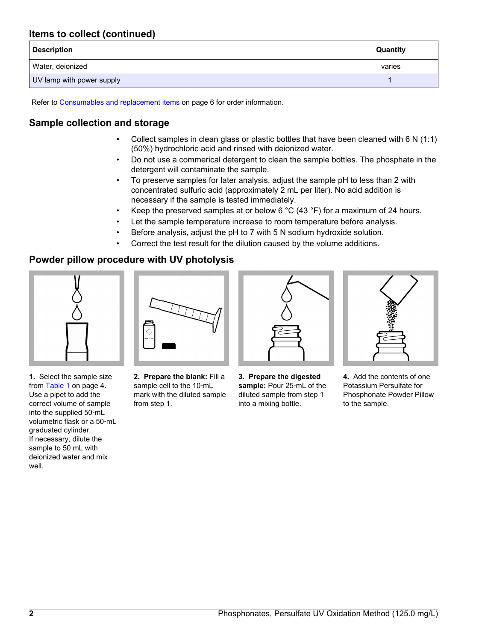#### **Items to collect (continued)**

| <b>Description</b>        | Quantity |
|---------------------------|----------|
| Water, deionized          | varies   |
| UV lamp with power supply |          |

Refer to [Consumables and replacement items](#page-5-0) on page 6 for order information.

#### **Sample collection and storage**

- Collect samples in clean glass or plastic bottles that have been cleaned with 6 N (1:1) (50%) hydrochloric acid and rinsed with deionized water.
- Do not use a commerical detergent to clean the sample bottles. The phosphate in the detergent will contaminate the sample.
- To preserve samples for later analysis, adjust the sample pH to less than 2 with concentrated sulfuric acid (approximately 2 mL per liter). No acid addition is necessary if the sample is tested immediately.
- Keep the preserved samples at or below 6 °C (43 °F) for a maximum of 24 hours.
- Let the sample temperature increase to room temperature before analysis.
- Before analysis, adjust the pH to 7 with 5 N sodium hydroxide solution.
- Correct the test result for the dilution caused by the volume additions.

#### **Powder pillow procedure with UV photolysis**



**1.** Select the sample size from [Table 1](#page-3-0) on page 4. Use a pipet to add the correct volume of sample into the supplied 50‑mL volumetric flask or a 50‑mL graduated cylinder. If necessary, dilute the sample to 50 mL with deionized water and mix well.

| 0 <sub>m1</sub> |
|-----------------|
|-----------------|

**2. Prepare the blank:** Fill a sample cell to the 10-mL mark with the diluted sample from step 1.

**3. Prepare the digested sample:** Pour 25‑mL of the diluted sample from step 1 into a mixing bottle.



**4.** Add the contents of one Potassium Persulfate for Phosphonate Powder Pillow to the sample.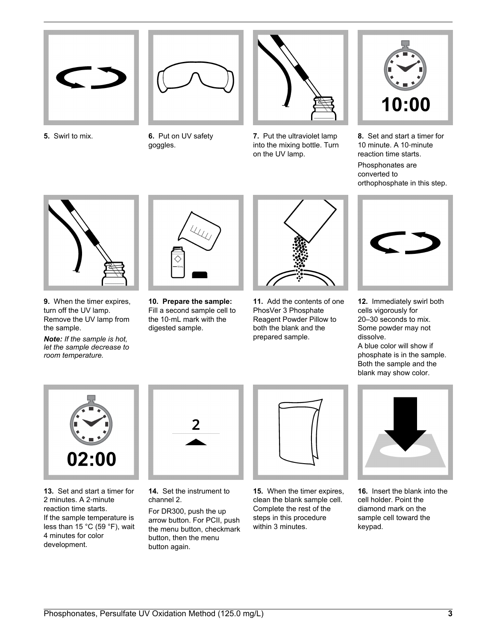



**5.** Swirl to mix. **6.** Put on UV safety goggles.



**7.** Put the ultraviolet lamp into the mixing bottle. Turn on the UV lamp.



**8.** Set and start a timer for 10 minute. A 10‑minute reaction time starts. Phosphonates are converted to orthophosphate in this step.



**9.** When the timer expires, turn off the UV lamp. Remove the UV lamp from the sample.

*Note: If the sample is hot, let the sample decrease to room temperature.*



**10. Prepare the sample:** Fill a second sample cell to the 10‑mL mark with the digested sample.



**11.** Add the contents of one PhosVer 3 Phosphate Reagent Powder Pillow to both the blank and the prepared sample.



**12.** Immediately swirl both cells vigorously for 20–30 seconds to mix. Some powder may not dissolve.

A blue color will show if phosphate is in the sample. Both the sample and the blank may show color.



**13.** Set and start a timer for 2 minutes. A 2‑minute reaction time starts. If the sample temperature is less than 15 °C (59 °F), wait 4 minutes for color development.



**14.** Set the instrument to channel 2.

For DR300, push the up arrow button. For PCII, push the menu button, checkmark button, then the menu button again.



**15.** When the timer expires, clean the blank sample cell. Complete the rest of the steps in this procedure within 3 minutes.



**16.** Insert the blank into the cell holder. Point the diamond mark on the sample cell toward the keypad.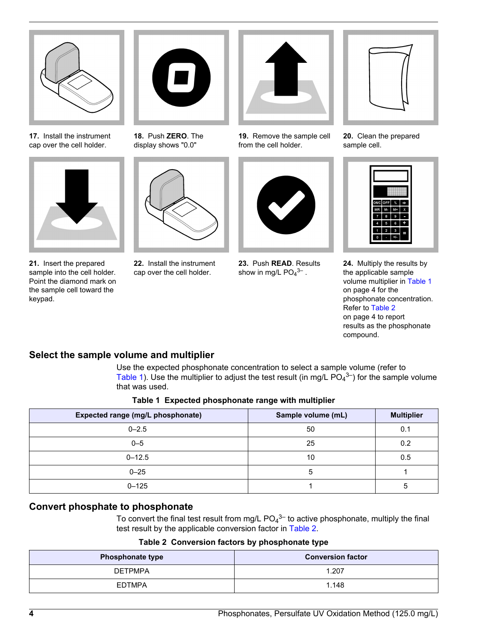<span id="page-3-0"></span>

**17.** Install the instrument cap over the cell holder.



**21.** Insert the prepared sample into the cell holder. Point the diamond mark on the sample cell toward the keypad.



**18.** Push **ZERO**. The display shows "0.0"



**22.** Install the instrument cap over the cell holder.



**19.** Remove the sample cell from the cell holder.



**23.** Push **READ**. Results show in mg/L  $PO<sub>4</sub><sup>3–</sup>$ .



**20.** Clean the prepared sample cell.



**24.** Multiply the results by the applicable sample volume multiplier in Table 1 on page 4 for the phosphonate concentration. Refer to Table 2 on page 4 to report results as the phosphonate compound.

#### **Select the sample volume and multiplier**

Use the expected phosphonate concentration to select a sample volume (refer to Table 1). Use the multiplier to adjust the test result (in mg/L  $PO<sub>4</sub><sup>3–</sup>$ ) for the sample volume that was used.

| Expected range (mg/L phosphonate) | Sample volume (mL) | <b>Multiplier</b> |
|-----------------------------------|--------------------|-------------------|
| $0 - 2.5$                         | 50                 | 0.1               |
| $0 - 5$                           | 25                 | 0.2               |
| $0 - 12.5$                        | 10                 | 0.5               |
| $0 - 25$                          | 5                  |                   |
| $0 - 125$                         |                    | 5                 |

**Table 1 Expected phosphonate range with multiplier**

#### **Convert phosphate to phosphonate**

To convert the final test result from mg/L  $PO<sub>4</sub><sup>3–</sup>$  to active phosphonate, multiply the final test result by the applicable conversion factor in Table 2.

**Table 2 Conversion factors by phosphonate type**

| <b>Phosphonate type</b> | <b>Conversion factor</b> |  |
|-------------------------|--------------------------|--|
| <b>DETPMPA</b>          | 1.207                    |  |
| <b>EDTMPA</b>           | 1.148                    |  |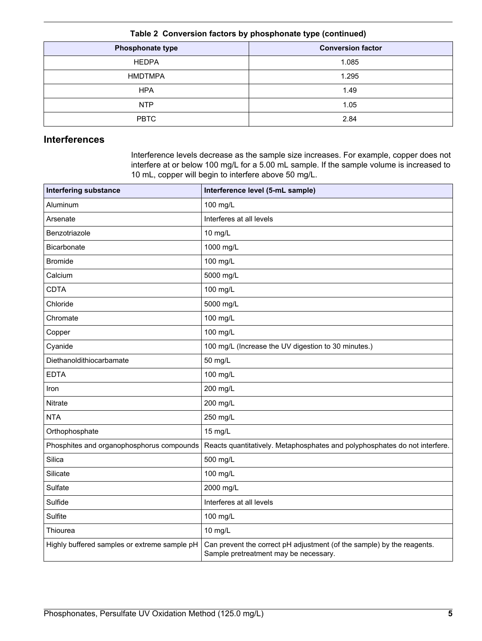#### **Table 2 Conversion factors by phosphonate type (continued)**

| <b>Phosphonate type</b> | <b>Conversion factor</b> |
|-------------------------|--------------------------|
| <b>HEDPA</b>            | 1.085                    |
| <b>HMDTMPA</b>          | 1.295                    |
| <b>HPA</b>              | 1.49                     |
| <b>NTP</b>              | 1.05                     |
| <b>PBTC</b>             | 2.84                     |

#### **Interferences**

Interference levels decrease as the sample size increases. For example, copper does not interfere at or below 100 mg/L for a 5.00 mL sample. If the sample volume is increased to 10 mL, copper will begin to interfere above 50 mg/L.

| <b>Interfering substance</b>                 | Interference level (5-mL sample)                                                                                |
|----------------------------------------------|-----------------------------------------------------------------------------------------------------------------|
| Aluminum                                     | 100 mg/L                                                                                                        |
| Arsenate                                     | Interferes at all levels                                                                                        |
| Benzotriazole                                | 10 mg/L                                                                                                         |
| Bicarbonate                                  | 1000 mg/L                                                                                                       |
| <b>Bromide</b>                               | 100 mg/L                                                                                                        |
| Calcium                                      | 5000 mg/L                                                                                                       |
| <b>CDTA</b>                                  | 100 mg/L                                                                                                        |
| Chloride                                     | 5000 mg/L                                                                                                       |
| Chromate                                     | 100 mg/L                                                                                                        |
| Copper                                       | 100 mg/L                                                                                                        |
| Cyanide                                      | 100 mg/L (Increase the UV digestion to 30 minutes.)                                                             |
| Diethanoldithiocarbamate                     | 50 mg/L                                                                                                         |
| <b>EDTA</b>                                  | 100 mg/L                                                                                                        |
| Iron                                         | 200 mg/L                                                                                                        |
| Nitrate                                      | 200 mg/L                                                                                                        |
| <b>NTA</b>                                   | 250 mg/L                                                                                                        |
| Orthophosphate                               | 15 mg/L                                                                                                         |
| Phosphites and organophosphorus compounds    | Reacts quantitatively. Metaphosphates and polyphosphates do not interfere.                                      |
| Silica                                       | 500 mg/L                                                                                                        |
| Silicate                                     | 100 mg/L                                                                                                        |
| Sulfate                                      | 2000 mg/L                                                                                                       |
| Sulfide                                      | Interferes at all levels                                                                                        |
| Sulfite                                      | 100 mg/L                                                                                                        |
| Thiourea                                     | 10 mg/L                                                                                                         |
| Highly buffered samples or extreme sample pH | Can prevent the correct pH adjustment (of the sample) by the reagents.<br>Sample pretreatment may be necessary. |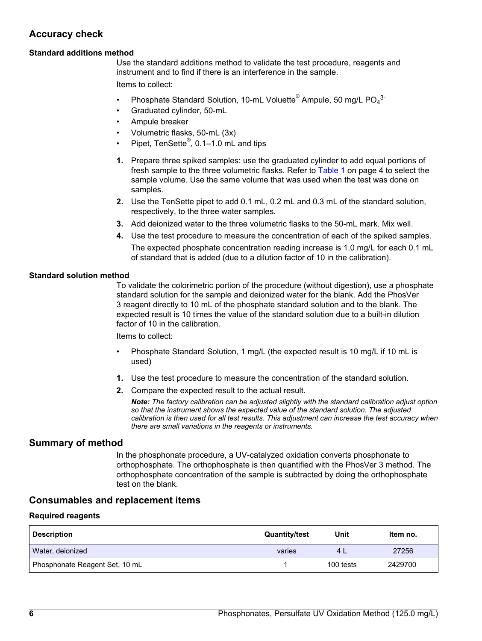#### <span id="page-5-0"></span>**Accuracy check**

#### **Standard additions method**

Use the standard additions method to validate the test procedure, reagents and instrument and to find if there is an interference in the sample. Items to collect:

- Phosphate Standard Solution, 10-mL Voluette<sup>®</sup> Ampule, 50 mg/L PO<sub>4</sub><sup>3</sup>
- Graduated cylinder, 50-mL
- Ampule breaker
- Volumetric flasks, 50-mL (3x)
- Pipet, TenSette<sup>®</sup>, 0.1–1.0 mL and tips
- **1.** Prepare three spiked samples: use the graduated cylinder to add equal portions of fresh sample to the three volumetric flasks. Refer to [Table 1](#page-3-0) on page 4 to select the sample volume. Use the same volume that was used when the test was done on samples.
- **2.** Use the TenSette pipet to add 0.1 mL, 0.2 mL and 0.3 mL of the standard solution, respectively, to the three water samples.
- **3.** Add deionized water to the three volumetric flasks to the 50-mL mark. Mix well.
- **4.** Use the test procedure to measure the concentration of each of the spiked samples. The expected phosphate concentration reading increase is 1.0 mg/L for each 0.1 mL of standard that is added (due to a dilution factor of 10 in the calibration).

#### **Standard solution method**

To validate the colorimetric portion of the procedure (without digestion), use a phosphate standard solution for the sample and deionized water for the blank. Add the PhosVer 3 reagent directly to 10 mL of the phosphate standard solution and to the blank. The expected result is 10 times the value of the standard solution due to a built-in dilution factor of 10 in the calibration.

Items to collect:

- Phosphate Standard Solution, 1 mg/L (the expected result is 10 mg/L if 10 mL is used)
- **1.** Use the test procedure to measure the concentration of the standard solution.
- **2.** Compare the expected result to the actual result.

*Note: The factory calibration can be adjusted slightly with the standard calibration adjust option so that the instrument shows the expected value of the standard solution. The adjusted calibration is then used for all test results. This adjustment can increase the test accuracy when there are small variations in the reagents or instruments.*

#### **Summary of method**

In the phosphonate procedure, a UV-catalyzed oxidation converts phosphonate to orthophosphate. The orthophosphate is then quantified with the PhosVer 3 method. The orthophosphate concentration of the sample is subtracted by doing the orthophosphate test on the blank.

#### **Consumables and replacement items**

#### **Required reagents**

| <b>Description</b>             | <b>Quantity/test</b> | Unit      | Item no. |
|--------------------------------|----------------------|-----------|----------|
| Water, deionized               | varies               | 4         | 27256    |
| Phosphonate Reagent Set, 10 mL |                      | 100 tests | 2429700  |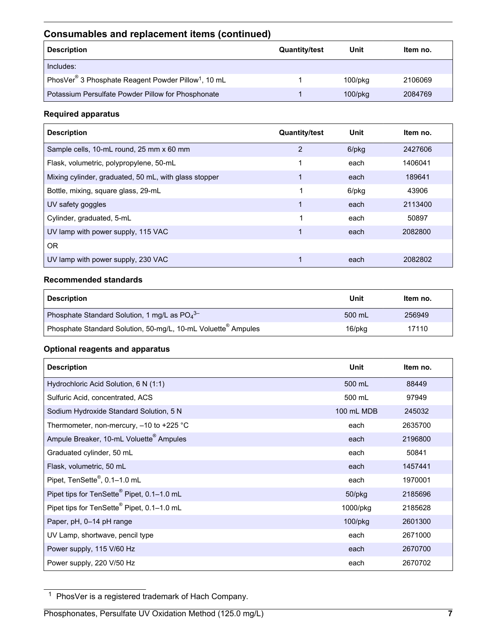### **Consumables and replacement items (continued)**

| <b>Description</b>                                                          | <b>Quantity/test</b> | Unit          | Item no. |
|-----------------------------------------------------------------------------|----------------------|---------------|----------|
| Includes:                                                                   |                      |               |          |
| PhosVer <sup>®</sup> 3 Phosphate Reagent Powder Pillow <sup>1</sup> , 10 mL |                      | $100$ /pkq    | 2106069  |
| Potassium Persulfate Powder Pillow for Phosphonate                          |                      | $100$ /p $kg$ | 2084769  |

#### **Required apparatus**

| <b>Description</b>                                    | <b>Quantity/test</b> | Unit  | Item no. |
|-------------------------------------------------------|----------------------|-------|----------|
| Sample cells, 10-mL round, 25 mm x 60 mm              | $\overline{2}$       | 6/pkg | 2427606  |
| Flask, volumetric, polypropylene, 50-mL               | 1                    | each  | 1406041  |
| Mixing cylinder, graduated, 50 mL, with glass stopper |                      | each  | 189641   |
| Bottle, mixing, square glass, 29-mL                   |                      | 6/pkg | 43906    |
| UV safety goggles                                     |                      | each  | 2113400  |
| Cylinder, graduated, 5-mL                             |                      | each  | 50897    |
| UV lamp with power supply, 115 VAC                    |                      | each  | 2082800  |
| 0 <sub>R</sub>                                        |                      |       |          |
| UV lamp with power supply, 230 VAC                    |                      | each  | 2082802  |

#### **Recommended standards**

| <b>Description</b>                                                        | Unit   | Item no. |
|---------------------------------------------------------------------------|--------|----------|
| Phosphate Standard Solution, 1 mg/L as $PO_4^{3-}$                        | 500 mL | 256949   |
| Phosphate Standard Solution, 50-mg/L, 10-mL Voluette <sup>®</sup> Ampules | 16/pkg | 17110    |

#### **Optional reagents and apparatus**

| <b>Description</b>                                     | <b>Unit</b>   | Item no. |
|--------------------------------------------------------|---------------|----------|
| Hydrochloric Acid Solution, 6 N (1:1)                  | 500 mL        | 88449    |
| Sulfuric Acid, concentrated, ACS                       | 500 mL        | 97949    |
| Sodium Hydroxide Standard Solution, 5 N                | 100 mL MDB    | 245032   |
| Thermometer, non-mercury, $-10$ to $+225$ °C           | each          | 2635700  |
| Ampule Breaker, 10-mL Voluette® Ampules                | each          | 2196800  |
| Graduated cylinder, 50 mL                              | each          | 50841    |
| Flask, volumetric, 50 mL                               | each          | 1457441  |
| Pipet, TenSette <sup>®</sup> , 0.1-1.0 mL              | each          | 1970001  |
| Pipet tips for TenSette <sup>®</sup> Pipet, 0.1-1.0 mL | $50$ /p $kg$  | 2185696  |
| Pipet tips for TenSette <sup>®</sup> Pipet, 0.1-1.0 mL | 1000/pkg      | 2185628  |
| Paper, pH, 0-14 pH range                               | $100$ /p $kg$ | 2601300  |
| UV Lamp, shortwave, pencil type                        | each          | 2671000  |
| Power supply, 115 V/60 Hz                              | each          | 2670700  |
| Power supply, 220 V/50 Hz                              | each          | 2670702  |

<sup>1</sup> PhosVer is a registered trademark of Hach Company.

Phosphonates, Persulfate UV Oxidation Method (125.0 mg/L) **7**